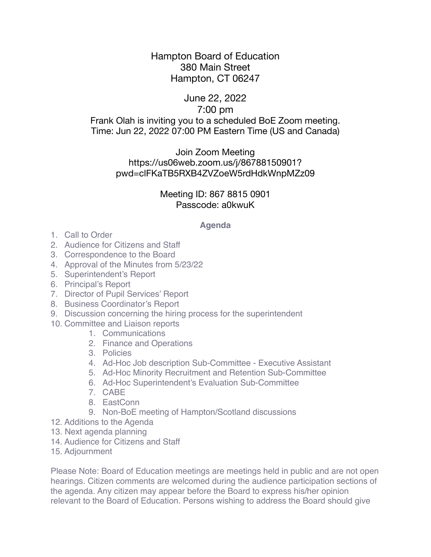# Hampton Board of Education 380 Main Street Hampton, CT 06247

## June 22, 2022 7:00 pm Frank Olah is inviting you to a scheduled BoE Zoom meeting. Time: Jun 22, 2022 07:00 PM Eastern Time (US and Canada)

### Join Zoom Meeting https://us06web.zoom.us/j/86788150901? pwd=clFKaTB5RXB4ZVZoeW5rdHdkWnpMZz09

### Meeting ID: 867 8815 0901 Passcode: a0kwuK

#### **Agenda**

- 1. Call to Order
- 2. Audience for Citizens and Staff
- 3. Correspondence to the Board
- 4. Approval of the Minutes from 5/23/22
- 5. Superintendent's Report
- 6. Principal's Report
- 7. Director of Pupil Services' Report
- 8. Business Coordinator's Report
- 9. Discussion concerning the hiring process for the superintendent
- 10. Committee and Liaison reports
	- 1. Communications
	- 2. Finance and Operations
	- 3. Policies
	- 4. Ad-Hoc Job description Sub-Committee Executive Assistant
	- 5. Ad-Hoc Minority Recruitment and Retention Sub-Committee
	- 6. Ad-Hoc Superintendent's Evaluation Sub-Committee
	- 7. CABE
	- 8. EastConn
	- 9. Non-BoE meeting of Hampton/Scotland discussions
- 12. Additions to the Agenda
- 13. Next agenda planning
- 14. Audience for Citizens and Staff
- 15. Adjournment

Please Note: Board of Education meetings are meetings held in public and are not open hearings. Citizen comments are welcomed during the audience participation sections of the agenda. Any citizen may appear before the Board to express his/her opinion relevant to the Board of Education. Persons wishing to address the Board should give